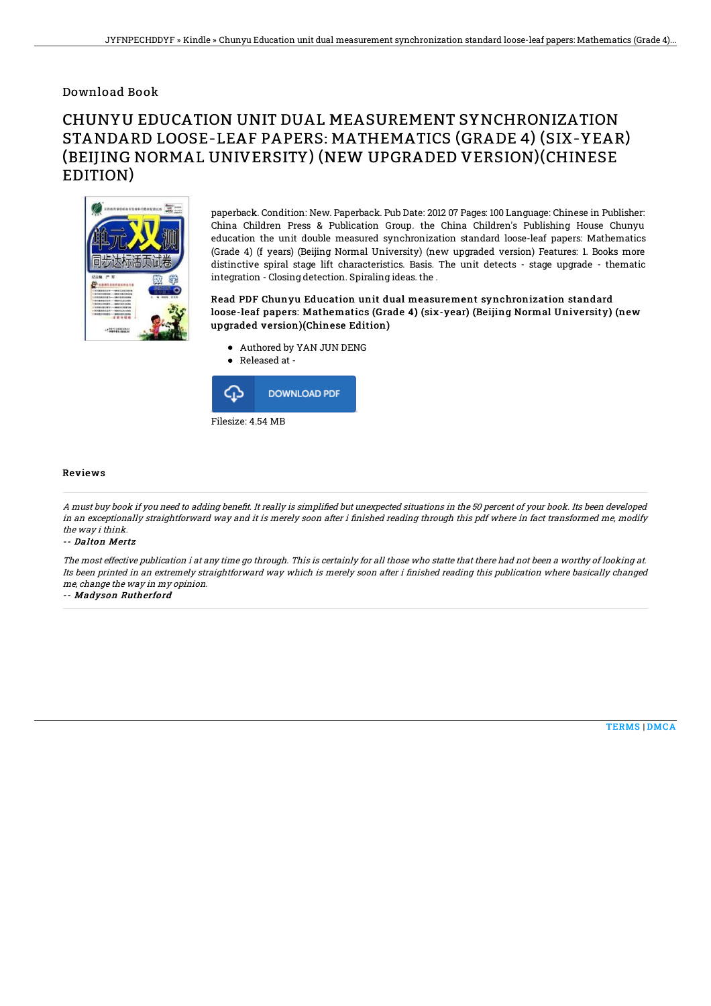### Download Book

# CHUNYU EDUCATION UNIT DUAL MEASUREMENT SYNCHRONIZATION STANDARD LOOSE-LEAF PAPERS: MATHEMATICS (GRADE 4) (SIX-YEAR) (BEIJING NORMAL UNIVERSITY) (NEW UPGRADED VERSION)(CHINESE EDITION)



paperback. Condition: New. Paperback. Pub Date: 2012 07 Pages: 100 Language: Chinese in Publisher: China Children Press & Publication Group. the China Children's Publishing House Chunyu education the unit double measured synchronization standard loose-leaf papers: Mathematics (Grade 4) (f years) (Beijing Normal University) (new upgraded version) Features: 1. Books more distinctive spiral stage lift characteristics. Basis. The unit detects - stage upgrade - thematic integration - Closing detection. Spiraling ideas. the .

#### Read PDF Chunyu Education unit dual measurement synchronization standard loose-leaf papers: Mathematics (Grade 4) (six-year) (Beijing Normal University) (new upgraded version)(Chinese Edition)

- Authored by YAN JUN DENG
- Released at -



#### Reviews

A must buy book if you need to adding benefit. It really is simplified but unexpected situations in the 50 percent of your book. Its been developed in an exceptionally straightforward way and it is merely soon after i finished reading through this pdf where in fact transformed me, modify the way i think.

#### -- Dalton Mertz

The most effective publication i at any time go through. This is certainly for all those who statte that there had not been <sup>a</sup> worthy of looking at. Its been printed in an extremely straightforward way which is merely soon after i finished reading this publication where basically changed me, change the way in my opinion.

-- Madyson Rutherford